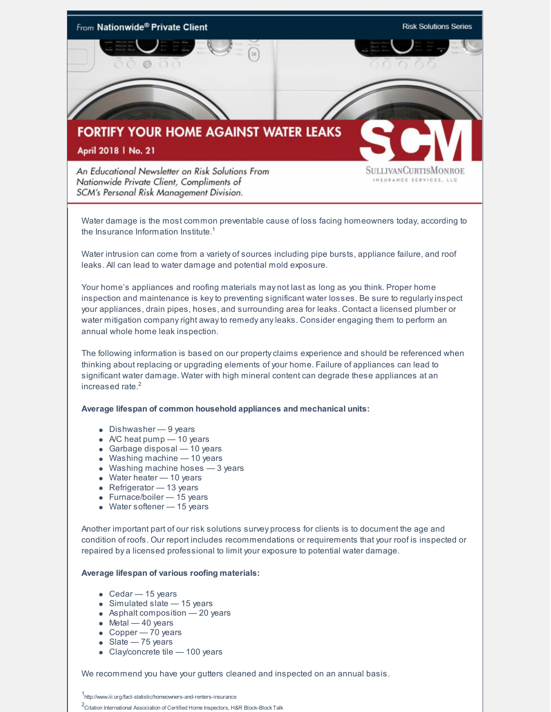

Water damage is the most common preventable cause of loss facing homeowners today, according to the Insurance Information Institute.<sup>1</sup>

Water intrusion can come from a variety of sources including pipe bursts, appliance failure, and roof leaks. All can lead to water damage and potential mold exposure.

Your home's appliances and roofing materials may not last as long as you think. Proper home inspection and maintenance is keyto preventing significant water losses. Be sure to regularlyinspect your appliances, drain pipes, hoses, and surrounding area for leaks. Contact a licensed plumber or water mitigation companyright awayto remedy anyleaks. Consider engaging them to perform an annual whole home leak inspection.

The following information is based on our propertyclaims experience and should be referenced when thinking about replacing or upgrading elements of your home. Failure of appliances can lead to significant water damage. Water with high mineral content can degrade these appliances at an increased rate. 2

## **Average lifespan of common household appliances and mechanical units:**

- Dishwasher 9 years
- $\bullet$  A/C heat pump  $-$  10 years
- Garbage disposal 10 years
- Washing machine 10 years
- Washing machine hoses 3 years
- Water heater 10 years
- Refrigerator 13 years
- Furnace/boiler 15 years
- Water softener 15 years

Another important part of our risk solutions survey process for clients is to document the age and condition of roofs. Our report includes recommendations or requirements that your roof is inspected or repaired by a licensed professional to limit your exposure to potential water damage.

## **Average lifespan of various roofing materials:**

- Cedar 15 years
- Simulated slate 15 years
- Asphalt composition 20 years
- $\bullet$  Metal  $-40$  years
- $\bullet$  Copper 70 years
- Slate 75 years
- Clay/concrete tile 100 years

We recommend you have your gutters cleaned and inspected on an annual basis.

1 <http://www.iii.org/fact-statistic/homeowners-and-renters-insurance>

<sup>2</sup>Citation International Association of Certified Home Inspectors, H&R Block–Block Talk